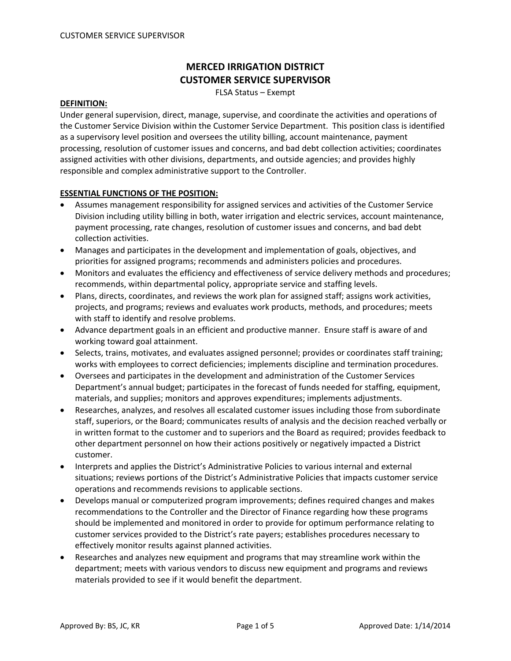# **MERCED IRRIGATION DISTRICT CUSTOMER SERVICE SUPERVISOR**

FLSA Status – Exempt

#### **DEFINITION:**

Under general supervision, direct, manage, supervise, and coordinate the activities and operations of the Customer Service Division within the Customer Service Department. This position class is identified as a supervisory level position and oversees the utility billing, account maintenance, payment processing, resolution of customer issues and concerns, and bad debt collection activities; coordinates assigned activities with other divisions, departments, and outside agencies; and provides highly responsible and complex administrative support to the Controller.

#### **ESSENTIAL FUNCTIONS OF THE POSITION:**

- Assumes management responsibility for assigned services and activities of the Customer Service Division including utility billing in both, water irrigation and electric services, account maintenance, payment processing, rate changes, resolution of customer issues and concerns, and bad debt collection activities.
- Manages and participates in the development and implementation of goals, objectives, and priorities for assigned programs; recommends and administers policies and procedures.
- Monitors and evaluates the efficiency and effectiveness of service delivery methods and procedures; recommends, within departmental policy, appropriate service and staffing levels.
- Plans, directs, coordinates, and reviews the work plan for assigned staff; assigns work activities, projects, and programs; reviews and evaluates work products, methods, and procedures; meets with staff to identify and resolve problems.
- Advance department goals in an efficient and productive manner. Ensure staff is aware of and working toward goal attainment.
- Selects, trains, motivates, and evaluates assigned personnel; provides or coordinates staff training; works with employees to correct deficiencies; implements discipline and termination procedures.
- Oversees and participates in the development and administration of the Customer Services Department's annual budget; participates in the forecast of funds needed for staffing, equipment, materials, and supplies; monitors and approves expenditures; implements adjustments.
- Researches, analyzes, and resolves all escalated customer issues including those from subordinate staff, superiors, or the Board; communicates results of analysis and the decision reached verbally or in written format to the customer and to superiors and the Board as required; provides feedback to other department personnel on how their actions positively or negatively impacted a District customer.
- Interprets and applies the District's Administrative Policies to various internal and external situations; reviews portions of the District's Administrative Policies that impacts customer service operations and recommends revisions to applicable sections.
- Develops manual or computerized program improvements; defines required changes and makes recommendations to the Controller and the Director of Finance regarding how these programs should be implemented and monitored in order to provide for optimum performance relating to customer services provided to the District's rate payers; establishes procedures necessary to effectively monitor results against planned activities.
- Researches and analyzes new equipment and programs that may streamline work within the department; meets with various vendors to discuss new equipment and programs and reviews materials provided to see if it would benefit the department.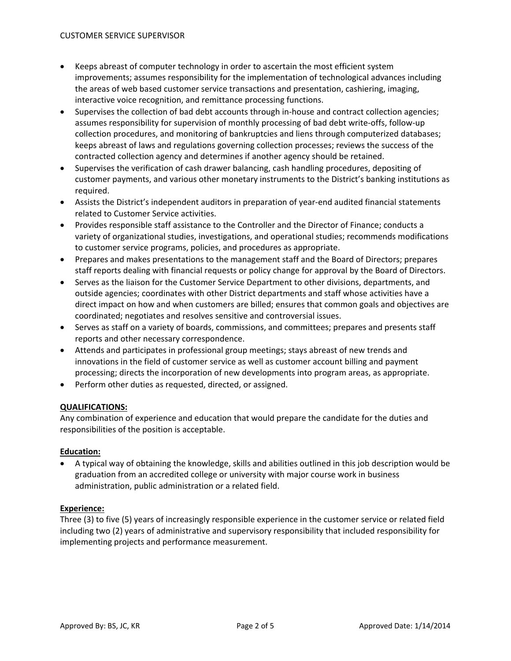- Keeps abreast of computer technology in order to ascertain the most efficient system improvements; assumes responsibility for the implementation of technological advances including the areas of web based customer service transactions and presentation, cashiering, imaging, interactive voice recognition, and remittance processing functions.
- Supervises the collection of bad debt accounts through in-house and contract collection agencies; assumes responsibility for supervision of monthly processing of bad debt write-offs, follow-up collection procedures, and monitoring of bankruptcies and liens through computerized databases; keeps abreast of laws and regulations governing collection processes; reviews the success of the contracted collection agency and determines if another agency should be retained.
- Supervises the verification of cash drawer balancing, cash handling procedures, depositing of customer payments, and various other monetary instruments to the District's banking institutions as required.
- Assists the District's independent auditors in preparation of year-end audited financial statements related to Customer Service activities.
- Provides responsible staff assistance to the Controller and the Director of Finance; conducts a variety of organizational studies, investigations, and operational studies; recommends modifications to customer service programs, policies, and procedures as appropriate.
- Prepares and makes presentations to the management staff and the Board of Directors; prepares staff reports dealing with financial requests or policy change for approval by the Board of Directors.
- Serves as the liaison for the Customer Service Department to other divisions, departments, and outside agencies; coordinates with other District departments and staff whose activities have a direct impact on how and when customers are billed; ensures that common goals and objectives are coordinated; negotiates and resolves sensitive and controversial issues.
- Serves as staff on a variety of boards, commissions, and committees; prepares and presents staff reports and other necessary correspondence.
- Attends and participates in professional group meetings; stays abreast of new trends and innovations in the field of customer service as well as customer account billing and payment processing; directs the incorporation of new developments into program areas, as appropriate.
- Perform other duties as requested, directed, or assigned.

# **QUALIFICATIONS:**

Any combination of experience and education that would prepare the candidate for the duties and responsibilities of the position is acceptable.

# **Education:**

• A typical way of obtaining the knowledge, skills and abilities outlined in this job description would be graduation from an accredited college or university with major course work in business administration, public administration or a related field.

# **Experience:**

Three (3) to five (5) years of increasingly responsible experience in the customer service or related field including two (2) years of administrative and supervisory responsibility that included responsibility for implementing projects and performance measurement.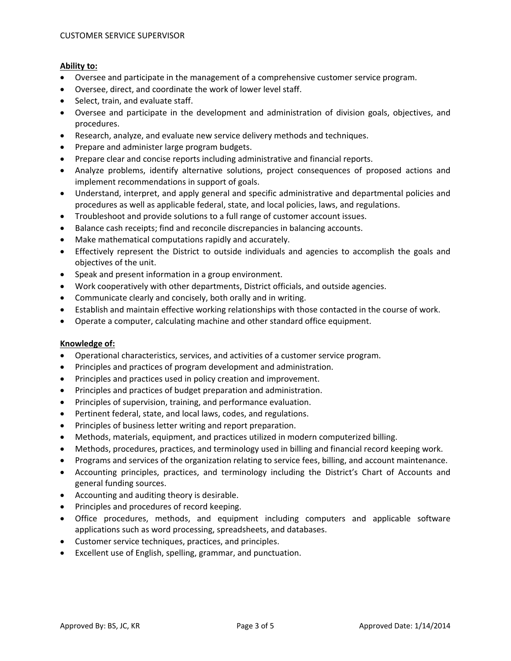# **Ability to:**

- Oversee and participate in the management of a comprehensive customer service program.
- Oversee, direct, and coordinate the work of lower level staff.
- Select, train, and evaluate staff.
- Oversee and participate in the development and administration of division goals, objectives, and procedures.
- Research, analyze, and evaluate new service delivery methods and techniques.
- Prepare and administer large program budgets.
- Prepare clear and concise reports including administrative and financial reports.
- Analyze problems, identify alternative solutions, project consequences of proposed actions and implement recommendations in support of goals.
- Understand, interpret, and apply general and specific administrative and departmental policies and procedures as well as applicable federal, state, and local policies, laws, and regulations.
- Troubleshoot and provide solutions to a full range of customer account issues.
- Balance cash receipts; find and reconcile discrepancies in balancing accounts.
- Make mathematical computations rapidly and accurately.
- Effectively represent the District to outside individuals and agencies to accomplish the goals and objectives of the unit.
- Speak and present information in a group environment.
- Work cooperatively with other departments, District officials, and outside agencies.
- Communicate clearly and concisely, both orally and in writing.
- Establish and maintain effective working relationships with those contacted in the course of work.
- Operate a computer, calculating machine and other standard office equipment.

# **Knowledge of:**

- Operational characteristics, services, and activities of a customer service program.
- Principles and practices of program development and administration.
- Principles and practices used in policy creation and improvement.
- Principles and practices of budget preparation and administration.
- Principles of supervision, training, and performance evaluation.
- Pertinent federal, state, and local laws, codes, and regulations.
- Principles of business letter writing and report preparation.
- Methods, materials, equipment, and practices utilized in modern computerized billing.
- Methods, procedures, practices, and terminology used in billing and financial record keeping work.
- Programs and services of the organization relating to service fees, billing, and account maintenance.
- Accounting principles, practices, and terminology including the District's Chart of Accounts and general funding sources.
- Accounting and auditing theory is desirable.
- Principles and procedures of record keeping.
- Office procedures, methods, and equipment including computers and applicable software applications such as word processing, spreadsheets, and databases.
- Customer service techniques, practices, and principles.
- Excellent use of English, spelling, grammar, and punctuation.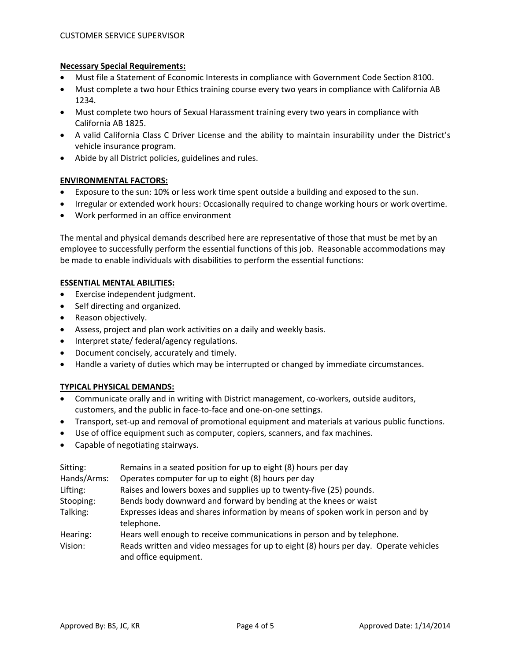# **Necessary Special Requirements:**

- Must file a Statement of Economic Interests in compliance with Government Code Section 8100.
- Must complete a two hour Ethics training course every two years in compliance with California AB 1234.
- Must complete two hours of Sexual Harassment training every two years in compliance with California AB 1825.
- A valid California Class C Driver License and the ability to maintain insurability under the District's vehicle insurance program.
- Abide by all District policies, guidelines and rules.

#### **ENVIRONMENTAL FACTORS:**

- Exposure to the sun: 10% or less work time spent outside a building and exposed to the sun.
- Irregular or extended work hours: Occasionally required to change working hours or work overtime.
- Work performed in an office environment

The mental and physical demands described here are representative of those that must be met by an employee to successfully perform the essential functions of this job. Reasonable accommodations may be made to enable individuals with disabilities to perform the essential functions:

#### **ESSENTIAL MENTAL ABILITIES:**

- Exercise independent judgment.
- Self directing and organized.
- Reason objectively.
- Assess, project and plan work activities on a daily and weekly basis.
- Interpret state/ federal/agency regulations.
- Document concisely, accurately and timely.
- Handle a variety of duties which may be interrupted or changed by immediate circumstances.

# **TYPICAL PHYSICAL DEMANDS:**

- Communicate orally and in writing with District management, co-workers, outside auditors, customers, and the public in face‐to‐face and one‐on‐one settings.
- Transport, set-up and removal of promotional equipment and materials at various public functions.
- Use of office equipment such as computer, copiers, scanners, and fax machines.
- Capable of negotiating stairways.

| Sitting:    | Remains in a seated position for up to eight (8) hours per day                                                |
|-------------|---------------------------------------------------------------------------------------------------------------|
| Hands/Arms: | Operates computer for up to eight (8) hours per day                                                           |
| Lifting:    | Raises and lowers boxes and supplies up to twenty-five (25) pounds.                                           |
| Stooping:   | Bends body downward and forward by bending at the knees or waist                                              |
| Talking:    | Expresses ideas and shares information by means of spoken work in person and by<br>telephone.                 |
| Hearing:    | Hears well enough to receive communications in person and by telephone.                                       |
| Vision:     | Reads written and video messages for up to eight (8) hours per day. Operate vehicles<br>and office equipment. |